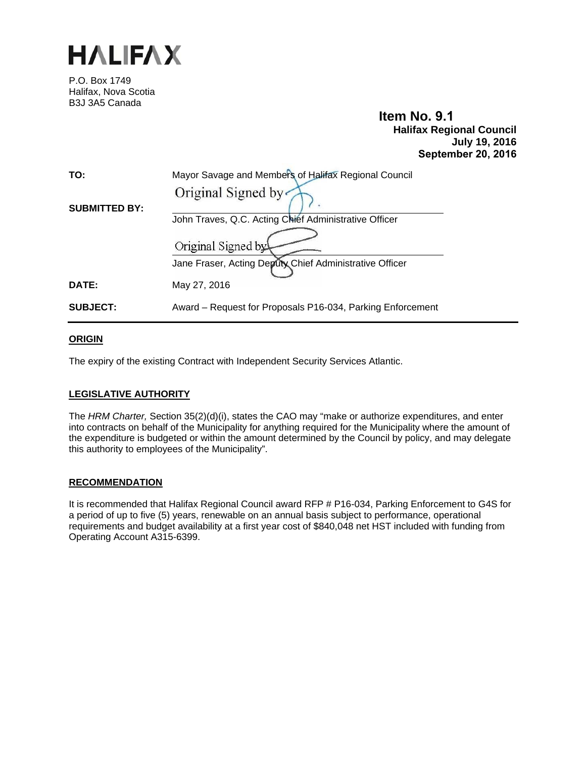

P.O. Box 1749 Halifax, Nova Scotia B3J 3A5 Canada

# **Item No. 9.1 Halifax Regional Council July 19, 2016 September 20, 2016**

| TO:                  | Mayor Savage and Members of Halifax Regional Council       |  |  |  |  |  |
|----------------------|------------------------------------------------------------|--|--|--|--|--|
|                      | Original Signed by                                         |  |  |  |  |  |
| <b>SUBMITTED BY:</b> |                                                            |  |  |  |  |  |
|                      | John Traves, Q.C. Acting Chief Administrative Officer      |  |  |  |  |  |
|                      | Original Signed by                                         |  |  |  |  |  |
|                      | Jane Fraser, Acting Deputy Chief Administrative Officer    |  |  |  |  |  |
| DATE:                | May 27, 2016                                               |  |  |  |  |  |
| <b>SUBJECT:</b>      | Award – Request for Proposals P16-034, Parking Enforcement |  |  |  |  |  |

# **ORIGIN**

The expiry of the existing Contract with Independent Security Services Atlantic.

# **LEGISLATIVE AUTHORITY**

The *HRM Charter,* Section 35(2)(d)(i), states the CAO may "make or authorize expenditures, and enter into contracts on behalf of the Municipality for anything required for the Municipality where the amount of the expenditure is budgeted or within the amount determined by the Council by policy, and may delegate this authority to employees of the Municipality".

#### **RECOMMENDATION**

It is recommended that Halifax Regional Council award RFP # P16-034, Parking Enforcement to G4S for a period of up to five (5) years, renewable on an annual basis subject to performance, operational requirements and budget availability at a first year cost of \$840,048 net HST included with funding from Operating Account A315-6399.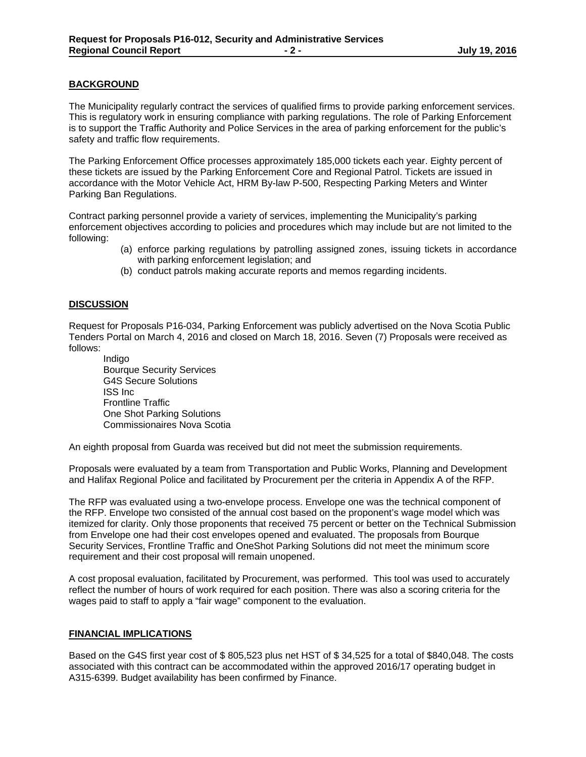# **BACKGROUND**

The Municipality regularly contract the services of qualified firms to provide parking enforcement services. This is regulatory work in ensuring compliance with parking regulations. The role of Parking Enforcement is to support the Traffic Authority and Police Services in the area of parking enforcement for the public's safety and traffic flow requirements.

The Parking Enforcement Office processes approximately 185,000 tickets each year. Eighty percent of these tickets are issued by the Parking Enforcement Core and Regional Patrol. Tickets are issued in accordance with the Motor Vehicle Act, HRM By-law P-500, Respecting Parking Meters and Winter Parking Ban Regulations.

Contract parking personnel provide a variety of services, implementing the Municipality's parking enforcement objectives according to policies and procedures which may include but are not limited to the following:

- (a) enforce parking regulations by patrolling assigned zones, issuing tickets in accordance with parking enforcement legislation; and
- (b) conduct patrols making accurate reports and memos regarding incidents.

#### **DISCUSSION**

Request for Proposals P16-034, Parking Enforcement was publicly advertised on the Nova Scotia Public Tenders Portal on March 4, 2016 and closed on March 18, 2016. Seven (7) Proposals were received as follows:

Indigo Bourque Security Services G4S Secure Solutions ISS Inc Frontline Traffic One Shot Parking Solutions Commissionaires Nova Scotia

An eighth proposal from Guarda was received but did not meet the submission requirements.

Proposals were evaluated by a team from Transportation and Public Works, Planning and Development and Halifax Regional Police and facilitated by Procurement per the criteria in Appendix A of the RFP.

The RFP was evaluated using a two-envelope process. Envelope one was the technical component of the RFP. Envelope two consisted of the annual cost based on the proponent's wage model which was itemized for clarity. Only those proponents that received 75 percent or better on the Technical Submission from Envelope one had their cost envelopes opened and evaluated. The proposals from Bourque Security Services, Frontline Traffic and OneShot Parking Solutions did not meet the minimum score requirement and their cost proposal will remain unopened.

A cost proposal evaluation, facilitated by Procurement, was performed. This tool was used to accurately reflect the number of hours of work required for each position. There was also a scoring criteria for the wages paid to staff to apply a "fair wage" component to the evaluation.

#### **FINANCIAL IMPLICATIONS**

Based on the G4S first year cost of \$ 805,523 plus net HST of \$ 34,525 for a total of \$840,048. The costs associated with this contract can be accommodated within the approved 2016/17 operating budget in A315-6399. Budget availability has been confirmed by Finance.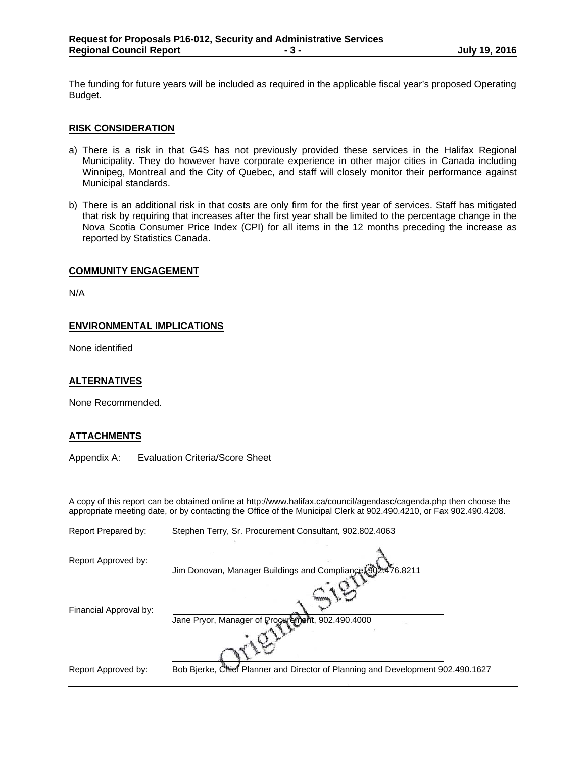The funding for future years will be included as required in the applicable fiscal year's proposed Operating Budget.

#### **RISK CONSIDERATION**

- a) There is a risk in that G4S has not previously provided these services in the Halifax Regional Municipality. They do however have corporate experience in other major cities in Canada including Winnipeg, Montreal and the City of Quebec, and staff will closely monitor their performance against Municipal standards.
- b) There is an additional risk in that costs are only firm for the first year of services. Staff has mitigated that risk by requiring that increases after the first year shall be limited to the percentage change in the Nova Scotia Consumer Price Index (CPI) for all items in the 12 months preceding the increase as reported by Statistics Canada.

#### **COMMUNITY ENGAGEMENT**

N/A

#### **ENVIRONMENTAL IMPLICATIONS**

None identified

#### **ALTERNATIVES**

None Recommended.

#### **ATTACHMENTS**

Appendix A: Evaluation Criteria/Score Sheet

A copy of this report can be obtained online at http://www.halifax.ca/council/agendasc/cagenda.php then choose the appropriate meeting date, or by contacting the Office of the Municipal Clerk at 902.490.4210, or Fax 902.490.4208.

| Report Prepared by:    | Stephen Terry, Sr. Procurement Consultant, 902.802.4063                         |
|------------------------|---------------------------------------------------------------------------------|
| Report Approved by:    | Jim Donovan, Manager Buildings and Compliance, 902.476.8211                     |
| Financial Approval by: | Jane Pryor, Manager of Procurement, 902.490.4000                                |
| Report Approved by:    | Bob Bjerke, Chief Planner and Director of Planning and Development 902.490.1627 |
|                        |                                                                                 |